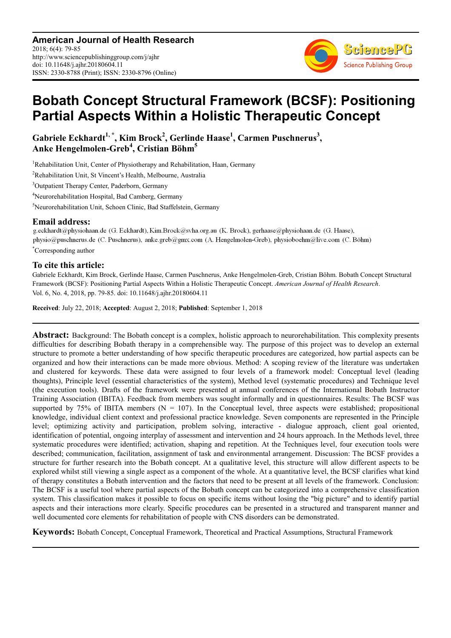**American Journal of Health Research** 2018; 6(4): 79-85 http://www.sciencepublishinggroup.com/j/ajhr doi: 10.11648/j.ajhr.20180604.11 ISSN: 2330-8788 (Print); ISSN: 2330-8796 (Online)



# **Bobath Concept Structural Framework (BCSF): Positioning Partial Aspects Within a Holistic Therapeutic Concept**

**Gabriele Eckhardt1, \*, Kim Brock<sup>2</sup> , Gerlinde Haase<sup>1</sup> , Carmen Puschnerus<sup>3</sup> , Anke Hengelmolen-Greb<sup>4</sup> , Cristian Böhm<sup>5</sup>**

<sup>1</sup>Rehabilitation Unit, Center of Physiotherapy and Rehabilitation, Haan, Germany

<sup>2</sup>Rehabilitation Unit, St Vincent's Health, Melbourne, Australia

<sup>3</sup>Outpatient Therapy Center, Paderborn, Germany

<sup>4</sup>Neurorehabilitation Hospital, Bad Camberg, Germany

<sup>5</sup>Neurorehabilitation Unit, Schoen Clinic, Bad Staffelstein, Germany

**Email address:**<br>g.eckhardt@physiohaan.de (G. Eckhardt), Kim.Brock@svha.org.au (K. Brock), gerhaase@physiohaan.de (G. Haase), physio@puschnerus.de (C. Puschnerus), anke.greb@gmx.com (A. Hengelmolen-Greb), physioboehm@live.com (C. Böhm) \*Corresponding author

### **To cite this article:**

Gabriele Eckhardt, Kim Brock, Gerlinde Haase, Carmen Puschnerus, Anke Hengelmolen-Greb, Cristian Böhm. Bobath Concept Structural Framework (BCSF): Positioning Partial Aspects Within a Holistic Therapeutic Concept. *American Journal of Health Research*. Vol. 6, No. 4, 2018, pp. 79-85. doi: 10.11648/j.ajhr.20180604.11

**Received**: July 22, 2018; **Accepted**: August 2, 2018; **Published**: September 1, 2018

Abstract: Background: The Bobath concept is a complex, holistic approach to neurorehabilitation. This complexity presents difficulties for describing Bobath therapy in a comprehensible way. The purpose of this project was to develop an external structure to promote a better understanding of how specific therapeutic procedures are categorized, how partial aspects can be organized and how their interactions can be made more obvious. Method: A scoping review of the literature was undertaken and clustered for keywords. These data were assigned to four levels of a framework model: Conceptual level (leading thoughts), Principle level (essential characteristics of the system), Method level (systematic procedures) and Technique level (the execution tools). Drafts of the framework were presented at annual conferences of the International Bobath Instructor Training Association (IBITA). Feedback from members was sought informally and in questionnaires. Results: The BCSF was supported by 75% of IBITA members ( $N = 107$ ). In the Conceptual level, three aspects were established; propositional knowledge, individual client context and professional practice knowledge. Seven components are represented in the Principle level; optimizing activity and participation, problem solving, interactive - dialogue approach, client goal oriented, identification of potential, ongoing interplay of assessment and intervention and 24 hours approach. In the Methods level, three systematic procedures were identified; activation, shaping and repetition. At the Techniques level, four execution tools were described; communication, facilitation, assignment of task and environmental arrangement. Discussion: The BCSF provides a structure for further research into the Bobath concept. At a qualitative level, this structure will allow different aspects to be explored whilst still viewing a single aspect as a component of the whole. At a quantitative level, the BCSF clarifies what kind of therapy constitutes a Bobath intervention and the factors that need to be present at all levels of the framework. Conclusion: The BCSF is a useful tool where partial aspects of the Bobath concept can be categorized into a comprehensive classification system. This classification makes it possible to focus on specific items without losing the "big picture" and to identify partial aspects and their interactions more clearly. Specific procedures can be presented in a structured and transparent manner and well documented core elements for rehabilitation of people with CNS disorders can be demonstrated.

**Keywords:** Bobath Concept, Conceptual Framework, Theoretical and Practical Assumptions, Structural Framework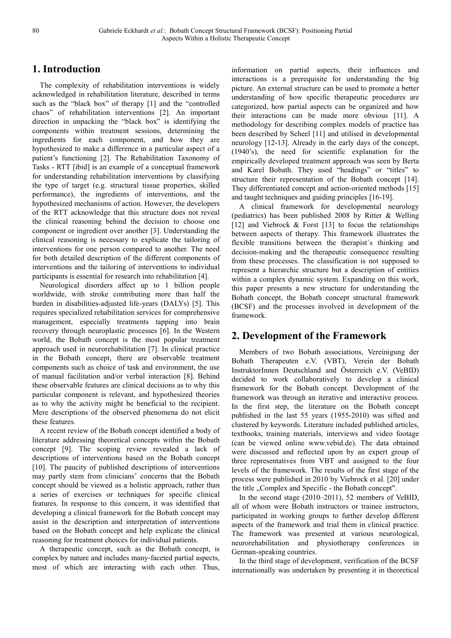## **1. Introduction**

The complexity of rehabilitation interventions is widely acknowledged in rehabilitation literature, described in terms such as the "black box" of therapy [1] and the "controlled chaos" of rehabilitation interventions [2]. An important direction in unpacking the "black box" is identifying the components within treatment sessions, determining the ingredients for each component, and how they are hypothesized to make a difference in a particular aspect of a patient's functioning [2]. The Rehabilitation Taxonomy of Tasks - RTT [ibid] is an example of a conceptual framework for understanding rehabilitation interventions by classifying the type of target (e.g. structural tissue properties, skilled performance), the ingredients of interventions, and the hypothesized mechanisms of action. However, the developers of the RTT acknowledge that this structure does not reveal the clinical reasoning behind the decision to choose one component or ingredient over another [3]. Understanding the clinical reasoning is necessary to explicate the tailoring of interventions for one person compared to another. The need for both detailed description of the different components of interventions and the tailoring of interventions to individual participants is essential for research into rehabilitation [4].

Neurological disorders affect up to 1 billion people worldwide, with stroke contributing more than half the burden in disabilities-adjusted life-years (DALYs) [5]. This requires specialized rehabilitation services for comprehensive management, especially treatments tapping into brain recovery through neuroplastic processes [6]. In the Western world, the Bobath concept is the most popular treatment approach used in neurorehabilitation [7]. In clinical practice in the Bobath concept, there are observable treatment components such as choice of task and environment, the use of manual facilitation and/or verbal interaction [8]. Behind these observable features are clinical decisions as to why this particular component is relevant, and hypothesized theories as to why the activity might be beneficial to the recipient. Mere descriptions of the observed phenomena do not elicit these features.

A recent review of the Bobath concept identified a body of literature addressing theoretical concepts within the Bobath concept [9]. The scoping review revealed a lack of descriptions of interventions based on the Bobath concept [10]. The paucity of published descriptions of interventions may partly stem from clinicians' concerns that the Bobath concept should be viewed as a holistic approach, rather than a series of exercises or techniques for specific clinical features. In response to this concern, it was identified that developing a clinical framework for the Bobath concept may assist in the description and interpretation of interventions based on the Bobath concept and help explicate the clinical reasoning for treatment choices for individual patients.

A therapeutic concept, such as the Bobath concept, is complex by nature and includes many-faceted partial aspects, most of which are interacting with each other. Thus, information on partial aspects, their influences and interactions is a prerequisite for understanding the big picture. An external structure can be used to promote a better understanding of how specific therapeutic procedures are categorized, how partial aspects can be organized and how their interactions can be made more obvious [11]. A methodology for describing complex models of practice has been described by Scheel [11] and utilised in developmental neurology [12-13]. Already in the early days of the concept, (1940's), the need for scientific explanation for the empirically developed treatment approach was seen by Berta and Karel Bobath. They used "headings" or "titles" to structure their representation of the Bobath concept [14]. They differentiated concept and action-oriented methods [15] and taught techniques and guiding principles [16-19].

A clinical framework for developmental neurology (pediatrics) has been published 2008 by Ritter & Welling [12] and Viebrock  $\&$  Forst [13] to focus the relationships between aspects of therapy. This framework illustrates the flexible transitions between the therapist´s thinking and decision-making and the therapeutic consequence resulting from these processes. The classification is not supposed to represent a hierarchic structure but a description of entities within a complex dynamic system. Expanding on this work, this paper presents a new structure for understanding the Bobath concept, the Bobath concept structural framework (BCSF) and the processes involved in development of the framework.

## **2. Development of the Framework**

Members of two Bobath associations, Vereinigung der Bobath Therapeuten e.V. (VBT), Verein der Bobath InstruktorInnen Deutschland and Österreich e.V. (VeBID) decided to work collaboratively to develop a clinical framework for the Bobath concept. Development of the framework was through an iterative and interactive process. In the first step, the literature on the Bobath concept published in the last 55 years (1955-2010) was sifted and clustered by keywords. Literature included published articles, textbooks, training materials, interviews and video footage (can be viewed online www.vebid.de). The data obtained were discussed and reflected upon by an expert group of three representatives from VBT and assigned to the four levels of the framework. The results of the first stage of the process were published in 2010 by Viebrock et al. [20] under the title "Complex and Specific - the Bobath concept".

In the second stage (2010–2011), 52 members of VeBID, all of whom were Bobath instructors or trainee instructors, participated in working groups to further develop different aspects of the framework and trial them in clinical practice. The framework was presented at various neurological, neurorehabilitation and physiotherapy conferences in German-speaking countries.

In the third stage of development, verification of the BCSF internationally was undertaken by presenting it in theoretical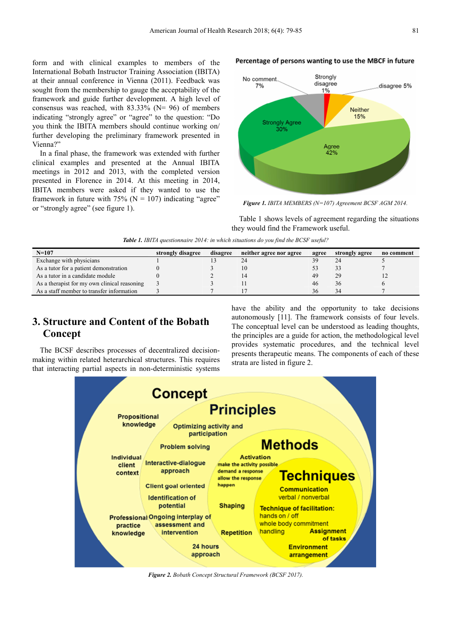form and with clinical examples to members of the International Bobath Instructor Training Association (IBITA) at their annual conference in Vienna (2011). Feedback was sought from the membership to gauge the acceptability of the framework and guide further development. A high level of consensus was reached, with  $83.33\%$  (N= 96) of members indicating "strongly agree" or "agree" to the question: "Do you think the IBITA members should continue working on/ further developing the preliminary framework presented in Vienna?"

In a final phase, the framework was extended with further clinical examples and presented at the Annual IBITA meetings in 2012 and 2013, with the completed version presented in Florence in 2014. At this meeting in 2014, IBITA members were asked if they wanted to use the framework in future with 75% ( $N = 107$ ) indicating "agree" or "strongly agree" (see figure 1).

#### Percentage of persons wanting to use the MBCF in future



*Figure 1. IBITA MEMBERS (N=107) Agreement BCSF AGM 2014.* 

Table 1 shows levels of agreement regarding the situations they would find the Framework useful.

|  | <b>Table 1.</b> IBITA questionnaire 2014: in which situations do you find the BCSF useful? |  |  |  |  |
|--|--------------------------------------------------------------------------------------------|--|--|--|--|
|  |                                                                                            |  |  |  |  |

| $N=107$                                      | strongly disagree | disagree | neither agree nor agree | agree | strongly agree | no comment |
|----------------------------------------------|-------------------|----------|-------------------------|-------|----------------|------------|
| Exchange with physicians                     |                   |          |                         |       |                |            |
| As a tutor for a patient demonstration       |                   |          |                         |       |                |            |
| As a tutor in a candidate module             |                   |          |                         | 49    |                |            |
| As a therapist for my own clinical reasoning |                   |          |                         | 46    |                |            |
| As a staff member to transfer information    |                   |          |                         | 36    |                |            |

## **3. Structure and Content of the Bobath Concept**

The BCSF describes processes of decentralized decisionmaking within related heterarchical structures. This requires that interacting partial aspects in non-deterministic systems have the ability and the opportunity to take decisions autonomously [11]. The framework consists of four levels. The conceptual level can be understood as leading thoughts, the principles are a guide for action, the methodological level provides systematic procedures, and the technical level presents therapeutic means. The components of each of these strata are listed in figure 2.



*Figure 2. Bobath Concept Structural Framework (BCSF 2017).*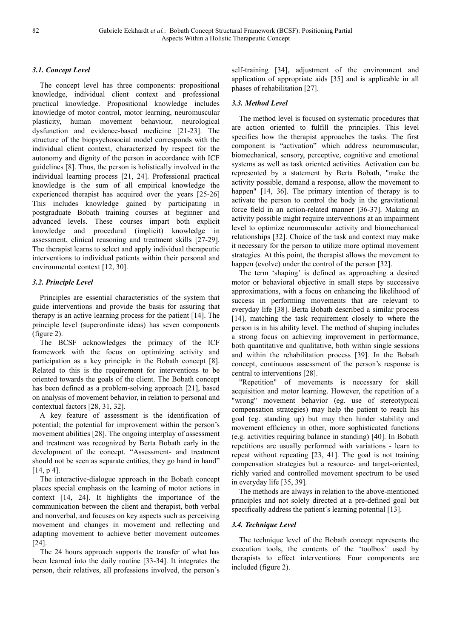### *3.1. Concept Level*

The concept level has three components: propositional knowledge, individual client context and professional practical knowledge. Propositional knowledge includes knowledge of motor control, motor learning, neuromuscular plasticity, human movement behaviour, neurological dysfunction and evidence-based medicine [21-23]. The structure of the biopsychosocial model corresponds with the individual client context, characterized by respect for the autonomy and dignity of the person in accordance with ICF guidelines [8]. Thus, the person is holistically involved in the individual learning process [21, 24]. Professional practical knowledge is the sum of all empirical knowledge the experienced therapist has acquired over the years [25-26] This includes knowledge gained by participating in postgraduate Bobath training courses at beginner and advanced levels. These courses impart both explicit knowledge and procedural (implicit) knowledge in assessment, clinical reasoning and treatment skills [27-29]. The therapist learns to select and apply individual therapeutic interventions to individual patients within their personal and environmental context [12, 30].

### *3.2. Principle Level*

Principles are essential characteristics of the system that guide interventions and provide the basis for assuring that therapy is an active learning process for the patient [14]. The principle level (superordinate ideas) has seven components (figure 2).

The BCSF acknowledges the primacy of the ICF framework with the focus on optimizing activity and participation as a key principle in the Bobath concept [8]. Related to this is the requirement for interventions to be oriented towards the goals of the client. The Bobath concept has been defined as a problem-solving approach [21], based on analysis of movement behavior, in relation to personal and contextual factors [28, 31, 32].

A key feature of assessment is the identification of potential; the potential for improvement within the person's movement abilities [28]. The ongoing interplay of assessment and treatment was recognized by Berta Bobath early in the development of the concept. "Assessment- and treatment should not be seen as separate entities, they go hand in hand" [14, p 4].

The interactive-dialogue approach in the Bobath concept places special emphasis on the learning of motor actions in context [14, 24]. It highlights the importance of the communication between the client and therapist, both verbal and nonverbal, and focuses on key aspects such as perceiving movement and changes in movement and reflecting and adapting movement to achieve better movement outcomes [24].

The 24 hours approach supports the transfer of what has been learned into the daily routine [33-34]. It integrates the person, their relatives, all professions involved, the person´s self-training [34], adjustment of the environment and application of appropriate aids [35] and is applicable in all phases of rehabilitation [27].

### *3.3. Method Level*

The method level is focused on systematic procedures that are action oriented to fulfill the principles. This level specifies how the therapist approaches the tasks. The first component is "activation" which address neuromuscular, biomechanical, sensory, perceptive, cognitive and emotional systems as well as task oriented activities. Activation can be represented by a statement by Berta Bobath, "make the activity possible, demand a response, allow the movement to happen" [14, 36]. The primary intention of therapy is to activate the person to control the body in the gravitational force field in an action-related manner [36-37]. Making an activity possible might require interventions at an impairment level to optimize neuromuscular activity and biomechanical relationships [32]. Choice of the task and context may make it necessary for the person to utilize more optimal movement strategies. At this point, the therapist allows the movement to happen (evolve) under the control of the person [32].

The term 'shaping' is defined as approaching a desired motor or behavioral objective in small steps by successive approximations, with a focus on enhancing the likelihood of success in performing movements that are relevant to everyday life [38]. Berta Bobath described a similar process [14], matching the task requirement closely to where the person is in his ability level. The method of shaping includes a strong focus on achieving improvement in performance, both quantitative and qualitative, both within single sessions and within the rehabilitation process [39]. In the Bobath concept, continuous assessment of the person's response is central to interventions [28].

"Repetition" of movements is necessary for skill acquisition and motor learning. However, the repetition of a "wrong" movement behavior (eg. use of stereotypical compensation strategies) may help the patient to reach his goal (eg. standing up) but may then hinder stability and movement efficiency in other, more sophisticated functions (e.g. activities requiring balance in standing) [40]. In Bobath repetitions are usually performed with variations - learn to repeat without repeating [23, 41]. The goal is not training compensation strategies but a resource- and target-oriented, richly varied and controlled movement spectrum to be used in everyday life [35, 39].

The methods are always in relation to the above-mentioned principles and not solely directed at a pre-defined goal but specifically address the patient's learning potential [13].

#### *3.4. Technique Level*

The technique level of the Bobath concept represents the execution tools, the contents of the 'toolbox' used by therapists to effect interventions. Four components are included (figure 2).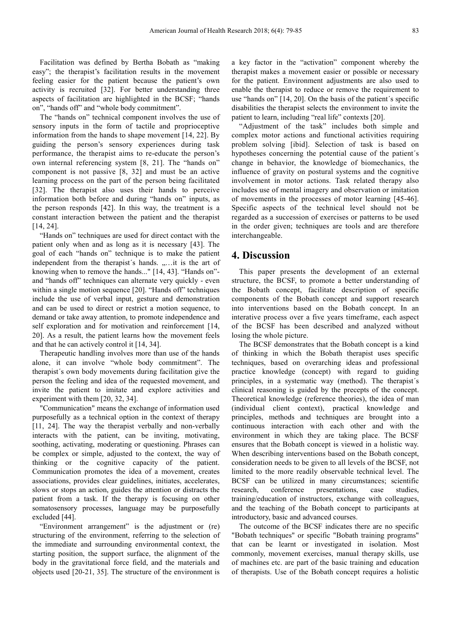Facilitation was defined by Bertha Bobath as "making easy"; the therapist's facilitation results in the movement feeling easier for the patient because the patient's own activity is recruited [32]. For better understanding three aspects of facilitation are highlighted in the BCSF; "hands on", "hands off" and "whole body commitment".

The "hands on" technical component involves the use of sensory inputs in the form of tactile and proprioceptive information from the hands to shape movement [14, 22]. By guiding the person's sensory experiences during task performance, the therapist aims to re-educate the person's own internal referencing system [8, 21]. The "hands on" component is not passive [8, 32] and must be an active learning process on the part of the person being facilitated [32]. The therapist also uses their hands to perceive information both before and during "hands on" inputs, as the person responds [42]. In this way, the treatment is a constant interaction between the patient and the therapist [14, 24].

"Hands on" techniques are used for direct contact with the patient only when and as long as it is necessary [43]. The goal of each "hands on" technique is to make the patient independent from the therapist's hands. "... it is the art of knowing when to remove the hands..." [14, 43]. "Hands on" and "hands off" techniques can alternate very quickly - even within a single motion sequence [20]. "Hands off" techniques include the use of verbal input, gesture and demonstration and can be used to direct or restrict a motion sequence, to demand or take away attention, to promote independence and self exploration and for motivation and reinforcement [14, 20]. As a result, the patient learns how the movement feels and that he can actively control it [14, 34].

Therapeutic handling involves more than use of the hands alone, it can involve "whole body commitment". The therapist´s own body movements during facilitation give the person the feeling and idea of the requested movement, and invite the patient to imitate and explore activities and experiment with them [20, 32, 34].

"Communication" means the exchange of information used purposefully as a technical option in the context of therapy [11, 24]. The way the therapist verbally and non-verbally interacts with the patient, can be inviting, motivating, soothing, activating, moderating or questioning. Phrases can be complex or simple, adjusted to the context, the way of thinking or the cognitive capacity of the patient. Communication promotes the idea of a movement, creates associations, provides clear guidelines, initiates, accelerates, slows or stops an action, guides the attention or distracts the patient from a task. If the therapy is focusing on other somatosensory processes, language may be purposefully excluded [44].

"Environment arrangement" is the adjustment or (re) structuring of the environment, referring to the selection of the immediate and surrounding environmental context, the starting position, the support surface, the alignment of the body in the gravitational force field, and the materials and objects used [20-21, 35]. The structure of the environment is

a key factor in the "activation" component whereby the therapist makes a movement easier or possible or necessary for the patient. Environment adjustments are also used to enable the therapist to reduce or remove the requirement to use "hands on" [14, 20]. On the basis of the patient´s specific disabilities the therapist selects the environment to invite the patient to learn, including "real life" contexts [20].

"Adjustment of the task" includes both simple and complex motor actions and functional activities requiring problem solving [ibid]. Selection of task is based on hypotheses concerning the potential cause of the patient´s change in behavior, the knowledge of biomechanics, the influence of gravity on postural systems and the cognitive involvement in motor actions. Task related therapy also includes use of mental imagery and observation or imitation of movements in the processes of motor learning [45-46]. Specific aspects of the technical level should not be regarded as a succession of exercises or patterns to be used in the order given; techniques are tools and are therefore interchangeable.

## **4. Discussion**

This paper presents the development of an external structure, the BCSF, to promote a better understanding of the Bobath concept, facilitate description of specific components of the Bobath concept and support research into interventions based on the Bobath concept. In an interative process over a five years timeframe, each aspect of the BCSF has been described and analyzed without losing the whole picture.

The BCSF demonstrates that the Bobath concept is a kind of thinking in which the Bobath therapist uses specific techniques, based on overarching ideas and professional practice knowledge (concept) with regard to guiding principles, in a systematic way (method). The therapist´s clinical reasoning is guided by the precepts of the concept. Theoretical knowledge (reference theories), the idea of man (individual client context), practical knowledge and principles, methods and techniques are brought into a continuous interaction with each other and with the environment in which they are taking place. The BCSF ensures that the Bobath concept is viewed in a holistic way. When describing interventions based on the Bobath concept, consideration needs to be given to all levels of the BCSF, not limited to the more readily observable technical level. The BCSF can be utilized in many circumstances; scientific research, conference presentations, case studies, training/education of instructors, exchange with colleagues, and the teaching of the Bobath concept to participants at introductory, basic and advanced courses.

The outcome of the BCSF indicates there are no specific "Bobath techniques" or specific "Bobath training programs" that can be learnt or investigated in isolation. Most commonly, movement exercises, manual therapy skills, use of machines etc. are part of the basic training and education of therapists. Use of the Bobath concept requires a holistic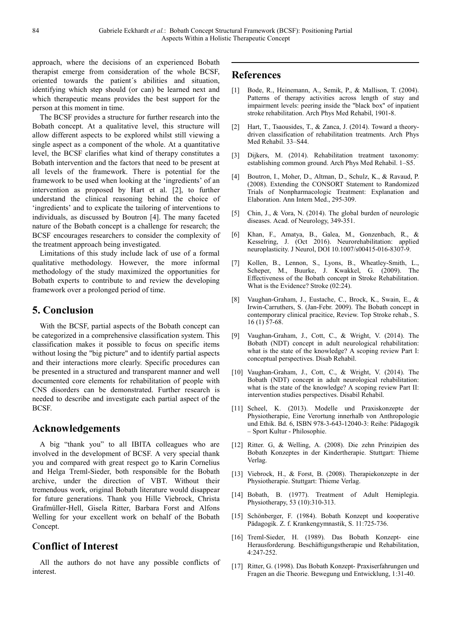approach, where the decisions of an experienced Bobath therapist emerge from consideration of the whole BCSF, oriented towards the patient´s abilities and situation, identifying which step should (or can) be learned next and which therapeutic means provides the best support for the person at this moment in time.

The BCSF provides a structure for further research into the Bobath concept. At a qualitative level, this structure will allow different aspects to be explored whilst still viewing a single aspect as a component of the whole. At a quantitative level, the BCSF clarifies what kind of therapy constitutes a Bobath intervention and the factors that need to be present at all levels of the framework. There is potential for the framework to be used when looking at the 'ingredients' of an intervention as proposed by Hart et al. [2], to further understand the clinical reasoning behind the choice of 'ingredients' and to explicate the tailoring of interventions to individuals, as discussed by Boutron [4]. The many faceted nature of the Bobath concept is a challenge for research; the BCSF encourages researchers to consider the complexity of the treatment approach being investigated.

Limitations of this study include lack of use of a formal qualitative methodology. However, the more informal methodology of the study maximized the opportunities for Bobath experts to contribute to and review the developing framework over a prolonged period of time.

## **5. Conclusion**

With the BCSF, partial aspects of the Bobath concept can be categorized in a comprehensive classification system. This classification makes it possible to focus on specific items without losing the "big picture" and to identify partial aspects and their interactions more clearly. Specific procedures can be presented in a structured and transparent manner and well documented core elements for rehabilitation of people with CNS disorders can be demonstrated. Further research is needed to describe and investigate each partial aspect of the BCSF.

## **Acknowledgements**

A big "thank you" to all IBITA colleagues who are involved in the development of BCSF. A very special thank you and compared with great respect go to Karin Cornelius and Helga Treml-Sieder, both responsible for the Bobath archive, under the direction of VBT. Without their tremendous work, original Bobath literature would disappear for future generations. Thank you Hille Viebrock, Christa Grafmüller-Hell, Gisela Ritter, Barbara Forst and Alfons Welling for your excellent work on behalf of the Bobath Concept.

## **Conflict of Interest**

All the authors do not have any possible conflicts of interest.

## **References**

- [1] Bode, R., Heinemann, A., Semik, P., & Mallison, T. (2004). Patterns of therapy activities across length of stay and impairment levels: peering inside the "black box" of inpatient stroke rehabilitation. Arch Phys Med Rehabil, 1901-8.
- [2] Hart, T., Tsaousides, T., & Zanca, J. (2014). Toward a theorydriven classification of rehabilitation treatments. Arch Phys Med Rehabil. 33–S44.
- [3] Dijkers, M. (2014). Rehabilitation treatment taxonomy: establishing common ground. Arch Phys Med Rehabil. 1–S5.
- [4] Boutron, I., Moher, D., Altman, D., Schulz, K., & Ravaud, P. (2008). Extending the CONSORT Statement to Randomized Trials of Nonpharmacologic Treatment: Explanation and Elaboration. Ann Intern Med., 295-309.
- [5] Chin, J., & Vora, N. (2014). The global burden of neurologic diseases. Acad. of Neurology, 349-351.
- [6] Khan, F., Amatya, B., Galea, M., Gonzenbach, R., & Kesselring, J. (Oct 2016). Neurorehabilitation: applied neuroplasticity. J Neurol, DOI 10.1007/s00415-016-8307-9.
- [7] Kollen, B., Lennon, S., Lyons, B., Wheatley-Smith, L., Scheper, M., Buurke, J. Kwakkel, G. (2009). The Effectiveness of the Bobath concept in Stroke Rehabilitation. What is the Evidence? Stroke (02:24).
- [8] Vaughan-Graham, J., Eustache, C., Brock, K., Swain, E., & Irwin-Carruthers, S. (Jan-Febr. 2009). The Bobath concept in contemporary clinical pracitice, Review. Top Stroke rehab., S. 16 (1) 57-68.
- [9] Vaughan-Graham, J., Cott, C., & Wright, V. (2014). The Bobath (NDT) concept in adult neurological rehabilitation: what is the state of the knowledge? A scoping review Part I: conceptual perspectives. Disab Rehabil.
- [10] Vaughan-Graham, J., Cott, C., & Wright, V. (2014). The Bobath (NDT) concept in adult neurological rehabilitation: what is the state of the knowledge? A scoping review Part II: intervention studies perspectives. Disabil Rehabil.
- [11] Scheel, K. (2013). Modelle und Praxiskonzepte der Physiotherapie, Eine Verortung innerhalb von Anthropologie und Ethik. Bd. 6, ISBN 978-3-643-12040-3: Reihe: Pädagogik – Sport Kultur - Philosophie.
- [12] Ritter. G, & Welling, A. (2008). Die zehn Prinzipien des Bobath Konzeptes in der Kindertherapie. Stuttgart: Thieme Verlag.
- [13] Viebrock, H., & Forst, B. (2008). Therapiekonzepte in der Physiotherapie. Stuttgart: Thieme Verlag.
- [14] Bobath, B. (1977). Treatment of Adult Hemiplegia. Physiotherapy, 53 (10):310-313.
- [15] Schönberger, F. (1984). Bobath Konzept und kooperative Pädagogik. Z. f. Krankengymnastik, S. 11:725-736.
- [16] Treml-Sieder, H. (1989). Das Bobath Konzept- eine Herausforderung. Beschäftigungstherapie und Rehabilitation, 4:247-252.
- [17] Ritter, G. (1998). Das Bobath Konzept- Praxiserfahrungen und Fragen an die Theorie. Bewegung und Entwicklung, 1:31-40.